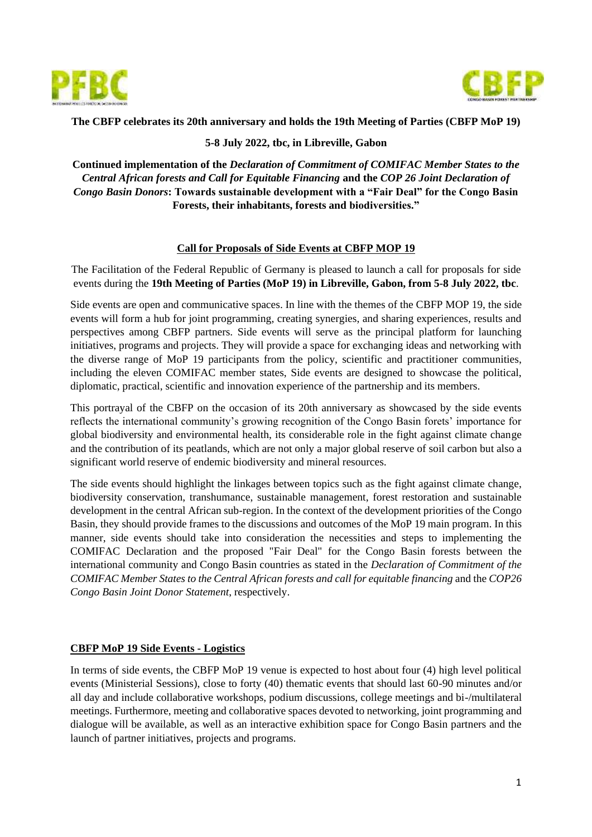



#### **The CBFP celebrates its 20th anniversary and holds the 19th Meeting of Parties (CBFP MoP 19)**

#### **5-8 July 2022, tbc, in Libreville, Gabon**

**Continued implementation of the** *Declaration of Commitment of COMIFAC Member States to the Central African forests and Call for Equitable Financing* **and the** *COP 26 Joint Declaration of Congo Basin Donors***: Towards sustainable development with a "Fair Deal" for the Congo Basin Forests, their inhabitants, forests and biodiversities."**

#### **Call for Proposals of Side Events at CBFP MOP 19**

The Facilitation of the Federal Republic of Germany is pleased to launch a call for proposals for side events during the **19th Meeting of Parties (MoP 19) in Libreville, Gabon, from 5-8 July 2022, tbc**.

Side events are open and communicative spaces. In line with the themes of the CBFP MOP 19, the side events will form a hub for joint programming, creating synergies, and sharing experiences, results and perspectives among CBFP partners. Side events will serve as the principal platform for launching initiatives, programs and projects. They will provide a space for exchanging ideas and networking with the diverse range of MoP 19 participants from the policy, scientific and practitioner communities, including the eleven COMIFAC member states, Side events are designed to showcase the political, diplomatic, practical, scientific and innovation experience of the partnership and its members.

This portrayal of the CBFP on the occasion of its 20th anniversary as showcased by the side events reflects the international community's growing recognition of the Congo Basin forets' importance for global biodiversity and environmental health, its considerable role in the fight against climate change and the contribution of its peatlands, which are not only a major global reserve of soil carbon but also a significant world reserve of endemic biodiversity and mineral resources.

The side events should highlight the linkages between topics such as the fight against climate change, biodiversity conservation, transhumance, sustainable management, forest restoration and sustainable development in the central African sub-region. In the context of the development priorities of the Congo Basin, they should provide frames to the discussions and outcomes of the MoP 19 main program. In this manner, side events should take into consideration the necessities and steps to implementing the COMIFAC Declaration and the proposed "Fair Deal" for the Congo Basin forests between the international community and Congo Basin countries as stated in the *Declaration of Commitment of the COMIFAC Member States to the Central African forests and call for equitable financing* and the *COP26 Congo Basin Joint Donor Statement*, respectively.

#### **CBFP MoP 19 Side Events - Logistics**

In terms of side events, the CBFP MoP 19 venue is expected to host about four (4) high level political events (Ministerial Sessions), close to forty (40) thematic events that should last 60-90 minutes and/or all day and include collaborative workshops, podium discussions, college meetings and bi-/multilateral meetings. Furthermore, meeting and collaborative spaces devoted to networking, joint programming and dialogue will be available, as well as an interactive exhibition space for Congo Basin partners and the launch of partner initiatives, projects and programs.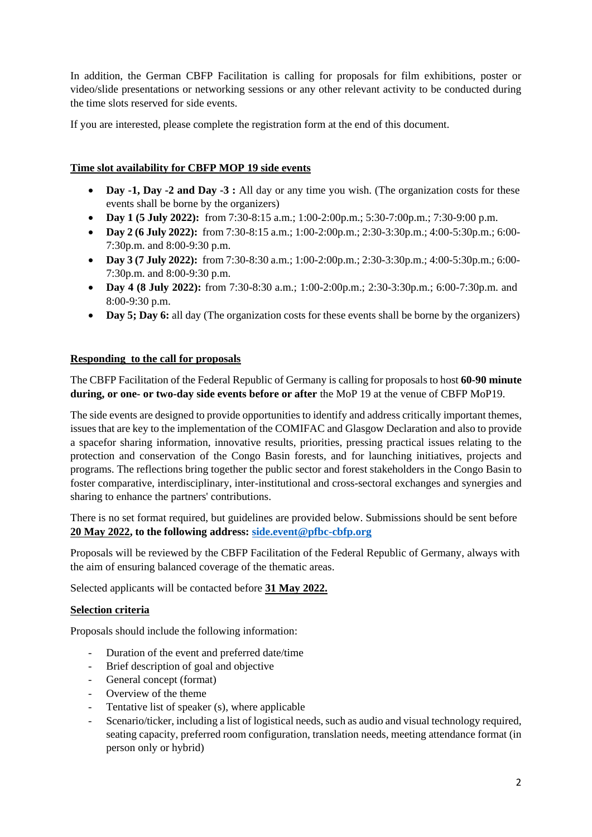In addition, the German CBFP Facilitation is calling for proposals for film exhibitions, poster or video/slide presentations or networking sessions or any other relevant activity to be conducted during the time slots reserved for side events.

If you are interested, please complete the registration form at the end of this document.

#### **Time slot availability for CBFP MOP 19 side events**

- **Day -1, Day -2 and Day -3 :** All day or any time you wish. (The organization costs for these events shall be borne by the organizers)
- **Day 1 (5 July 2022):** from 7:30-8:15 a.m.; 1:00-2:00p.m.; 5:30-7:00p.m.; 7:30-9:00 p.m.
- **Day 2 (6 July 2022):** from 7:30-8:15 a.m.; 1:00-2:00p.m.; 2:30-3:30p.m.; 4:00-5:30p.m.; 6:00- 7:30p.m. and 8:00-9:30 p.m.
- **Day 3 (7 July 2022):** from 7:30-8:30 a.m.; 1:00-2:00p.m.; 2:30-3:30p.m.; 4:00-5:30p.m.; 6:00- 7:30p.m. and 8:00-9:30 p.m.
- **Day 4 (8 July 2022):** from 7:30-8:30 a.m.; 1:00-2:00p.m.; 2:30-3:30p.m.; 6:00-7:30p.m. and 8:00-9:30 p.m.
- **Day 5; Day 6:** all day (The organization costs for these events shall be borne by the organizers)

#### **Responding to the call for proposals**

The CBFP Facilitation of the Federal Republic of Germany is calling for proposals to host **60-90 minute during, or one- or two-day side events before or after** the MoP 19 at the venue of CBFP MoP19.

The side events are designed to provide opportunities to identify and address critically important themes, issues that are key to the implementation of the COMIFAC and Glasgow Declaration and also to provide a spacefor sharing information, innovative results, priorities, pressing practical issues relating to the protection and conservation of the Congo Basin forests, and for launching initiatives, projects and programs. The reflections bring together the public sector and forest stakeholders in the Congo Basin to foster comparative, interdisciplinary, inter-institutional and cross-sectoral exchanges and synergies and sharing to enhance the partners' contributions.

There is no set format required, but guidelines are provided below. Submissions should be sent before **20 May 2022, to the following address: [side.event@pfbc-cbfp.org](mailto:side.event@pfbc-cbfp.org)**

Proposals will be reviewed by the CBFP Facilitation of the Federal Republic of Germany, always with the aim of ensuring balanced coverage of the thematic areas.

Selected applicants will be contacted before **31 May 2022.**

#### **Selection criteria**

Proposals should include the following information:

- Duration of the event and preferred date/time
- Brief description of goal and objective
- General concept (format)
- Overview of the theme
- Tentative list of speaker (s), where applicable
- Scenario/ticker, including a list of logistical needs, such as audio and visual technology required, seating capacity, preferred room configuration, translation needs, meeting attendance format (in person only or hybrid)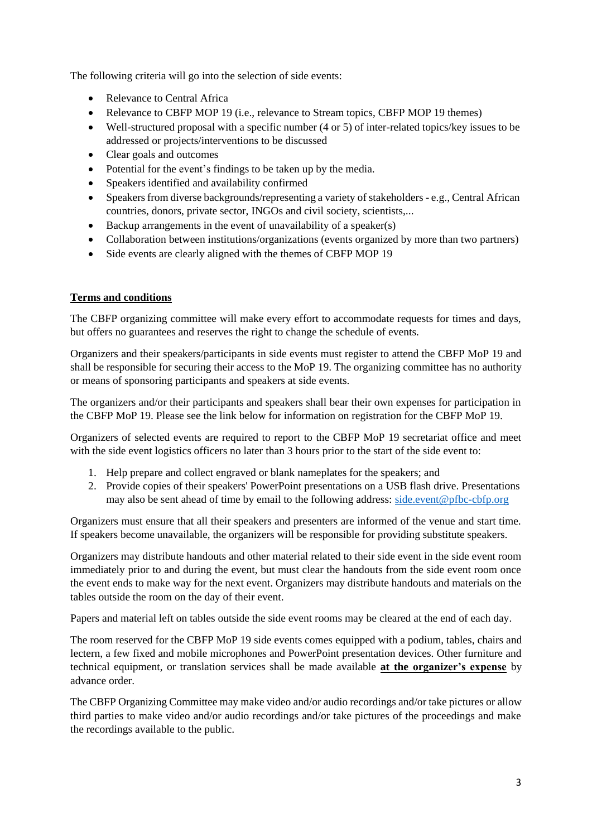The following criteria will go into the selection of side events:

- Relevance to Central Africa
- Relevance to CBFP MOP 19 (i.e., relevance to Stream topics, CBFP MOP 19 themes)
- Well-structured proposal with a specific number (4 or 5) of inter-related topics/key issues to be addressed or projects/interventions to be discussed
- Clear goals and outcomes
- Potential for the event's findings to be taken up by the media.
- Speakers identified and availability confirmed
- $\bullet$  Speakers from diverse backgrounds/representing a variety of stakeholders e.g., Central African countries, donors, private sector, INGOs and civil society, scientists,...
- $\bullet$  Backup arrangements in the event of unavailability of a speaker(s)
- Collaboration between institutions/organizations (events organized by more than two partners)
- Side events are clearly aligned with the themes of CBFP MOP 19

#### **Terms and conditions**

The CBFP organizing committee will make every effort to accommodate requests for times and days, but offers no guarantees and reserves the right to change the schedule of events.

Organizers and their speakers/participants in side events must register to attend the CBFP MoP 19 and shall be responsible for securing their access to the MoP 19. The organizing committee has no authority or means of sponsoring participants and speakers at side events.

The organizers and/or their participants and speakers shall bear their own expenses for participation in the CBFP MoP 19. Please see the link below for information on registration for the CBFP MoP 19.

Organizers of selected events are required to report to the CBFP MoP 19 secretariat office and meet with the side event logistics officers no later than 3 hours prior to the start of the side event to:

- 1. Help prepare and collect engraved or blank nameplates for the speakers; and
- 2. Provide copies of their speakers' PowerPoint presentations on a USB flash drive. Presentations may also be sent ahead of time by email to the following address: [side.event@pfbc-cbfp.org](mailto:side.event@pfbc-cbfp.org)

Organizers must ensure that all their speakers and presenters are informed of the venue and start time. If speakers become unavailable, the organizers will be responsible for providing substitute speakers.

Organizers may distribute handouts and other material related to their side event in the side event room immediately prior to and during the event, but must clear the handouts from the side event room once the event ends to make way for the next event. Organizers may distribute handouts and materials on the tables outside the room on the day of their event.

Papers and material left on tables outside the side event rooms may be cleared at the end of each day.

The room reserved for the CBFP MoP 19 side events comes equipped with a podium, tables, chairs and lectern, a few fixed and mobile microphones and PowerPoint presentation devices. Other furniture and technical equipment, or translation services shall be made available **at the organizer's expense** by advance order.

The CBFP Organizing Committee may make video and/or audio recordings and/or take pictures or allow third parties to make video and/or audio recordings and/or take pictures of the proceedings and make the recordings available to the public.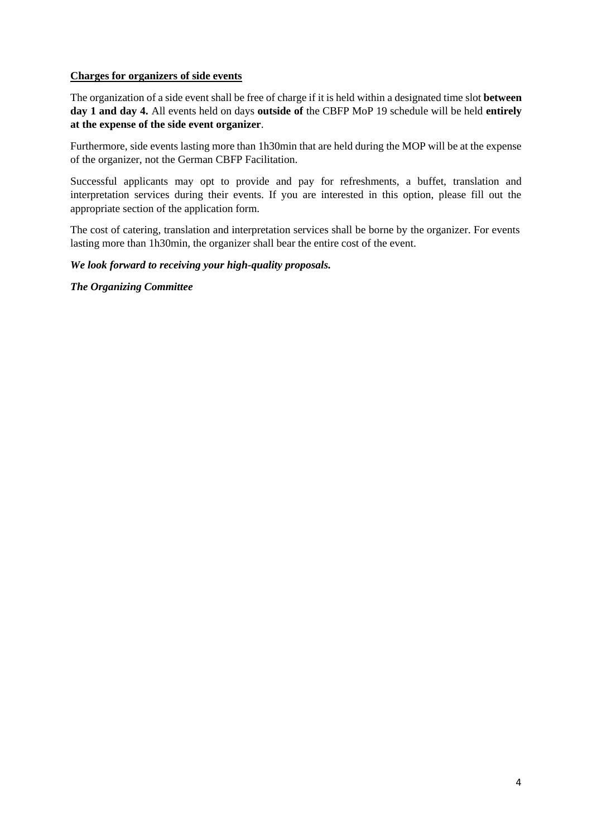#### **Charges for organizers of side events**

The organization of a side event shall be free of charge if it is held within a designated time slot **between day 1 and day 4.** All events held on days **outside of** the CBFP MoP 19 schedule will be held **entirely at the expense of the side event organizer**.

Furthermore, side events lasting more than 1h30min that are held during the MOP will be at the expense of the organizer, not the German CBFP Facilitation.

Successful applicants may opt to provide and pay for refreshments, a buffet, translation and interpretation services during their events. If you are interested in this option, please fill out the appropriate section of the application form.

The cost of catering, translation and interpretation services shall be borne by the organizer. For events lasting more than 1h30min, the organizer shall bear the entire cost of the event.

#### *We look forward to receiving your high-quality proposals.*

*The Organizing Committee*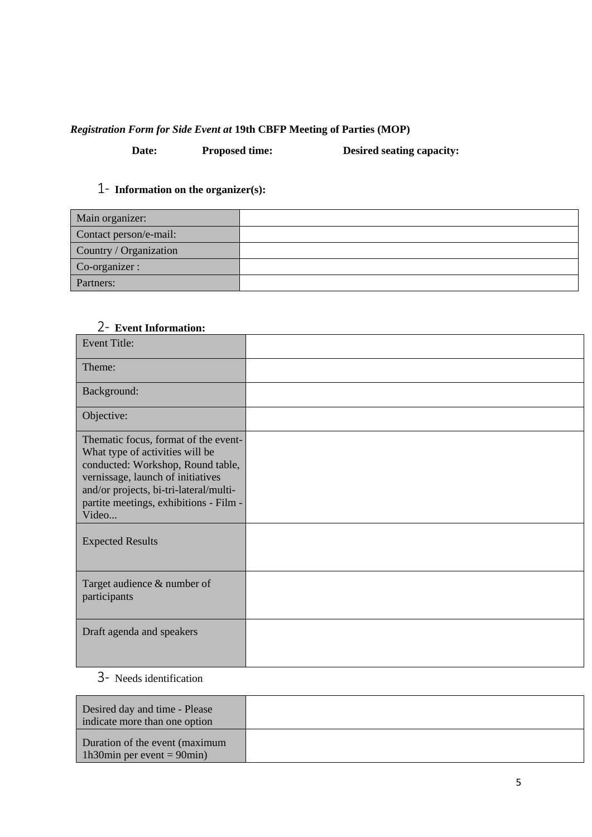### *Registration Form for Side Event at* **19th CBFP Meeting of Parties (MOP)**

**Date: Proposed time: Desired seating capacity:**

## 1- **Information on the organizer(s):**

| Main organizer:        |  |
|------------------------|--|
| Contact person/e-mail: |  |
| Country / Organization |  |
| Co-organizer :         |  |
| Partners:              |  |

## 2- **Event Information:**

| <b>Event Title:</b>                                                                                                                                                                                                                            |  |
|------------------------------------------------------------------------------------------------------------------------------------------------------------------------------------------------------------------------------------------------|--|
| Theme:                                                                                                                                                                                                                                         |  |
| Background:                                                                                                                                                                                                                                    |  |
| Objective:                                                                                                                                                                                                                                     |  |
| Thematic focus, format of the event-<br>What type of activities will be<br>conducted: Workshop, Round table,<br>vernissage, launch of initiatives<br>and/or projects, bi-tri-lateral/multi-<br>partite meetings, exhibitions - Film -<br>Video |  |
| <b>Expected Results</b>                                                                                                                                                                                                                        |  |
| Target audience & number of<br>participants                                                                                                                                                                                                    |  |
| Draft agenda and speakers                                                                                                                                                                                                                      |  |

# 3- Needs identification

| Desired day and time - Please<br>indicate more than one option  |  |
|-----------------------------------------------------------------|--|
| Duration of the event (maximum<br>1h30min per event = $90$ min) |  |